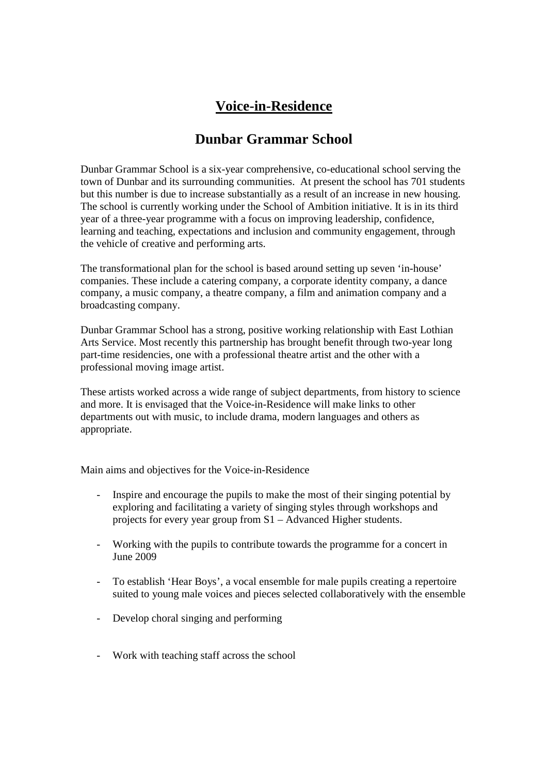## **Voice-in-Residence**

## **Dunbar Grammar School**

Dunbar Grammar School is a six-year comprehensive, co-educational school serving the town of Dunbar and its surrounding communities. At present the school has 701 students but this number is due to increase substantially as a result of an increase in new housing. The school is currently working under the School of Ambition initiative. It is in its third year of a three-year programme with a focus on improving leadership, confidence, learning and teaching, expectations and inclusion and community engagement, through the vehicle of creative and performing arts.

The transformational plan for the school is based around setting up seven 'in-house' companies. These include a catering company, a corporate identity company, a dance company, a music company, a theatre company, a film and animation company and a broadcasting company.

Dunbar Grammar School has a strong, positive working relationship with East Lothian Arts Service. Most recently this partnership has brought benefit through two-year long part-time residencies, one with a professional theatre artist and the other with a professional moving image artist.

These artists worked across a wide range of subject departments, from history to science and more. It is envisaged that the Voice-in-Residence will make links to other departments out with music, to include drama, modern languages and others as appropriate.

Main aims and objectives for the Voice-in-Residence

- Inspire and encourage the pupils to make the most of their singing potential by exploring and facilitating a variety of singing styles through workshops and projects for every year group from S1 – Advanced Higher students.
- Working with the pupils to contribute towards the programme for a concert in June 2009
- To establish 'Hear Boys', a vocal ensemble for male pupils creating a repertoire suited to young male voices and pieces selected collaboratively with the ensemble
- Develop choral singing and performing
- Work with teaching staff across the school